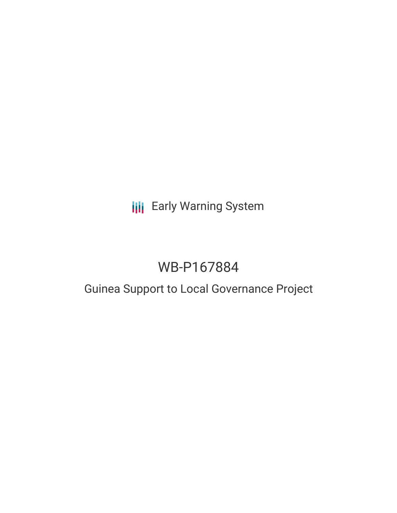# **III** Early Warning System

# WB-P167884

## Guinea Support to Local Governance Project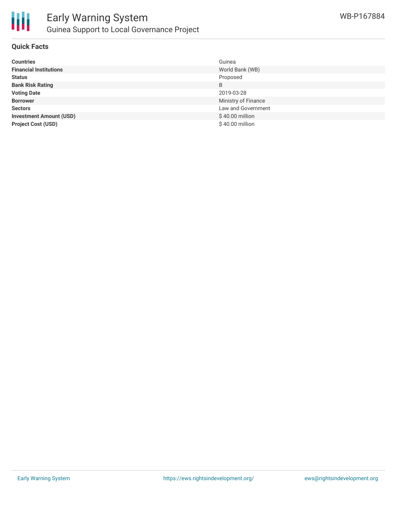

### **Quick Facts**

| <b>Countries</b>               | Guinea              |
|--------------------------------|---------------------|
| <b>Financial Institutions</b>  | World Bank (WB)     |
| <b>Status</b>                  | Proposed            |
| <b>Bank Risk Rating</b>        | B                   |
| <b>Voting Date</b>             | 2019-03-28          |
| <b>Borrower</b>                | Ministry of Finance |
| <b>Sectors</b>                 | Law and Government  |
| <b>Investment Amount (USD)</b> | \$40.00 million     |
| <b>Project Cost (USD)</b>      | \$40.00 million     |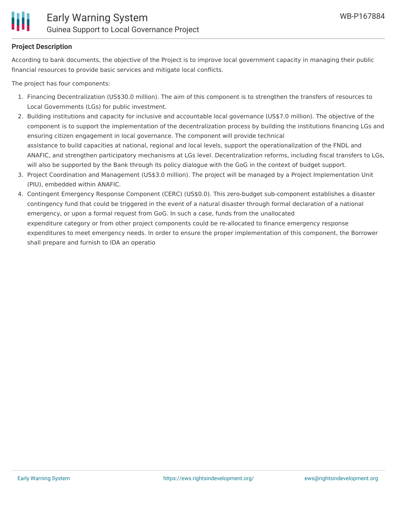

### **Project Description**

According to bank documents, the objective of the Project is to improve local government capacity in managing their public financial resources to provide basic services and mitigate local conflicts.

The project has four components:

- 1. Financing Decentralization (US\$30.0 million). The aim of this component is to strengthen the transfers of resources to Local Governments (LGs) for public investment.
- 2. Building institutions and capacity for inclusive and accountable local governance (US\$7.0 million). The objective of the component is to support the implementation of the decentralization process by building the institutions financing LGs and ensuring citizen engagement in local governance. The component will provide technical assistance to build capacities at national, regional and local levels, support the operationalization of the FNDL and ANAFIC, and strengthen participatory mechanisms at LGs level. Decentralization reforms, including fiscal transfers to LGs, will also be supported by the Bank through its policy dialogue with the GoG in the context of budget support.
- 3. Project Coordination and Management (US\$3.0 million). The project will be managed by a Project Implementation Unit (PIU), embedded within ANAFIC.
- 4. Contingent Emergency Response Component (CERC) (US\$0.0). This zero-budget sub-component establishes a disaster contingency fund that could be triggered in the event of a natural disaster through formal declaration of a national emergency, or upon a formal request from GoG. In such a case, funds from the unallocated expenditure category or from other project components could be re-allocated to finance emergency response expenditures to meet emergency needs. In order to ensure the proper implementation of this component, the Borrower shall prepare and furnish to IDA an operatio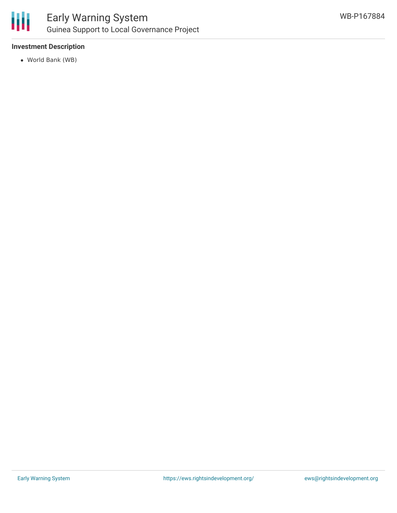

### Early Warning System Guinea Support to Local Governance Project

### **Investment Description**

World Bank (WB)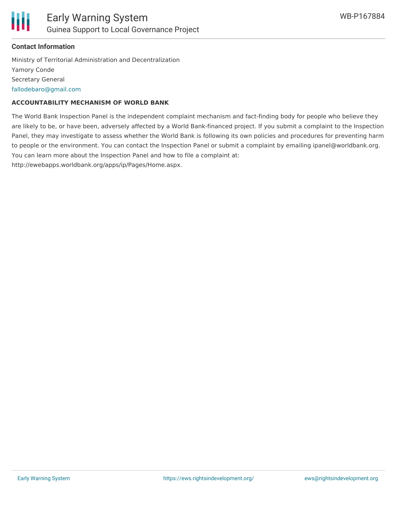

#### **Contact Information**

Ministry of Territorial Administration and Decentralization Yamory Conde Secretary General [fallodebaro@gmail.com](mailto:fallodebaro@gmail.com)

#### **ACCOUNTABILITY MECHANISM OF WORLD BANK**

The World Bank Inspection Panel is the independent complaint mechanism and fact-finding body for people who believe they are likely to be, or have been, adversely affected by a World Bank-financed project. If you submit a complaint to the Inspection Panel, they may investigate to assess whether the World Bank is following its own policies and procedures for preventing harm to people or the environment. You can contact the Inspection Panel or submit a complaint by emailing ipanel@worldbank.org. You can learn more about the Inspection Panel and how to file a complaint at: http://ewebapps.worldbank.org/apps/ip/Pages/Home.aspx.